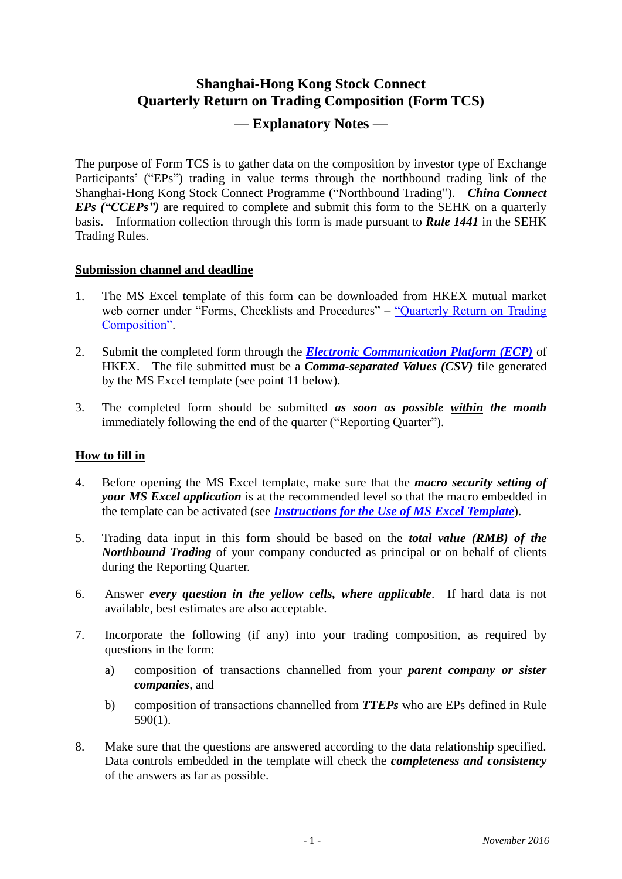# **Shanghai-Hong Kong Stock Connect Quarterly Return on Trading Composition (Form TCS) — Explanatory Notes —**

The purpose of Form TCS is to gather data on the composition by investor type of Exchange Participants' ("EPs") trading in value terms through the northbound trading link of the Shanghai-Hong Kong Stock Connect Programme ("Northbound Trading"). *China Connect EPs ("CCEPs")* are required to complete and submit this form to the SEHK on a quarterly basis. Information collection through this form is made pursuant to *Rule 1441* in the SEHK Trading Rules.

### **Submission channel and deadline**

- 1. The MS Excel template of this form can be downloaded from HKEX mutual market web corner under "Forms, Checklists and Procedures" – "Quarterly Return on Trading" [Composition".](http://www.hkex.com.hk/eng/market/sec_tradinfra/chinaconnect/tcs.htm)
- 2. Submit the completed form through the *[Electronic Communication Platform \(ECP\)](https://www.ecp.hkex.com.hk/)* of HKEX. The file submitted must be a *Comma-separated Values (CSV)* file generated by the MS Excel template (see point 11 below).
- 3. The completed form should be submitted *as soon as possible within the month* immediately following the end of the quarter ("Reporting Quarter").

## **How to fill in**

- 4. Before opening the MS Excel template, make sure that the *macro security setting of your MS Excel application* is at the recommended level so that the macro embedded in the template can be activated (see *[Instructions for the Use of](http://www.hkex.com.hk/eng/market/sec_tradinfra/chinaconnect/Documents/SHHKC_QtrRet_Instructions.pdf) MS Excel Template*).
- 5. Trading data input in this form should be based on the *total value (RMB) of the Northbound Trading* of your company conducted as principal or on behalf of clients during the Reporting Quarter.
- 6. Answer *every question in the yellow cells, where applicable*. If hard data is not available, best estimates are also acceptable.
- 7. Incorporate the following (if any) into your trading composition, as required by questions in the form:
	- a) composition of transactions channelled from your *parent company or sister companies*, and
	- b) composition of transactions channelled from *TTEPs* who are EPs defined in Rule 590(1).
- 8. Make sure that the questions are answered according to the data relationship specified. Data controls embedded in the template will check the *completeness and consistency* of the answers as far as possible.